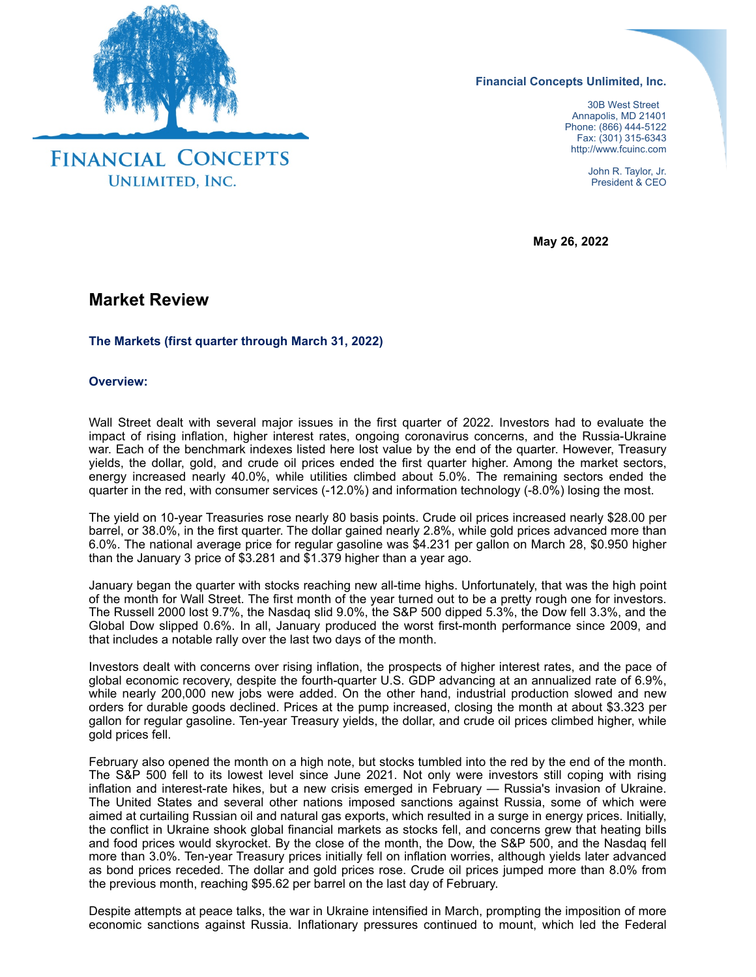

**Financial Concepts Unlimited, Inc.**

 30B West Street Annapolis, MD 21401 Phone: (866) 444-5122 Fax: (301) 315-6343 http://www.fcuinc.com

> John R. Taylor, Jr. President & CEO

**May 26, 2022**

# **Market Review**

# **The Markets (first quarter through March 31, 2022)**

### **Overview:**

Wall Street dealt with several major issues in the first quarter of 2022. Investors had to evaluate the impact of rising inflation, higher interest rates, ongoing coronavirus concerns, and the Russia-Ukraine war. Each of the benchmark indexes listed here lost value by the end of the quarter. However, Treasury yields, the dollar, gold, and crude oil prices ended the first quarter higher. Among the market sectors, energy increased nearly 40.0%, while utilities climbed about 5.0%. The remaining sectors ended the quarter in the red, with consumer services (-12.0%) and information technology (-8.0%) losing the most.

The yield on 10-year Treasuries rose nearly 80 basis points. Crude oil prices increased nearly \$28.00 per barrel, or 38.0%, in the first quarter. The dollar gained nearly 2.8%, while gold prices advanced more than 6.0%. The national average price for regular gasoline was \$4.231 per gallon on March 28, \$0.950 higher than the January 3 price of \$3.281 and \$1.379 higher than a year ago.

January began the quarter with stocks reaching new all-time highs. Unfortunately, that was the high point of the month for Wall Street. The first month of the year turned out to be a pretty rough one for investors. The Russell 2000 lost 9.7%, the Nasdaq slid 9.0%, the S&P 500 dipped 5.3%, the Dow fell 3.3%, and the Global Dow slipped 0.6%. In all, January produced the worst first-month performance since 2009, and that includes a notable rally over the last two days of the month.

Investors dealt with concerns over rising inflation, the prospects of higher interest rates, and the pace of global economic recovery, despite the fourth-quarter U.S. GDP advancing at an annualized rate of 6.9%, while nearly 200,000 new jobs were added. On the other hand, industrial production slowed and new orders for durable goods declined. Prices at the pump increased, closing the month at about \$3.323 per gallon for regular gasoline. Ten-year Treasury yields, the dollar, and crude oil prices climbed higher, while gold prices fell.

February also opened the month on a high note, but stocks tumbled into the red by the end of the month. The S&P 500 fell to its lowest level since June 2021. Not only were investors still coping with rising inflation and interest-rate hikes, but a new crisis emerged in February — Russia's invasion of Ukraine. The United States and several other nations imposed sanctions against Russia, some of which were aimed at curtailing Russian oil and natural gas exports, which resulted in a surge in energy prices. Initially, the conflict in Ukraine shook global financial markets as stocks fell, and concerns grew that heating bills and food prices would skyrocket. By the close of the month, the Dow, the S&P 500, and the Nasdaq fell more than 3.0%. Ten-year Treasury prices initially fell on inflation worries, although yields later advanced as bond prices receded. The dollar and gold prices rose. Crude oil prices jumped more than 8.0% from the previous month, reaching \$95.62 per barrel on the last day of February.

Despite attempts at peace talks, the war in Ukraine intensified in March, prompting the imposition of more economic sanctions against Russia. Inflationary pressures continued to mount, which led the Federal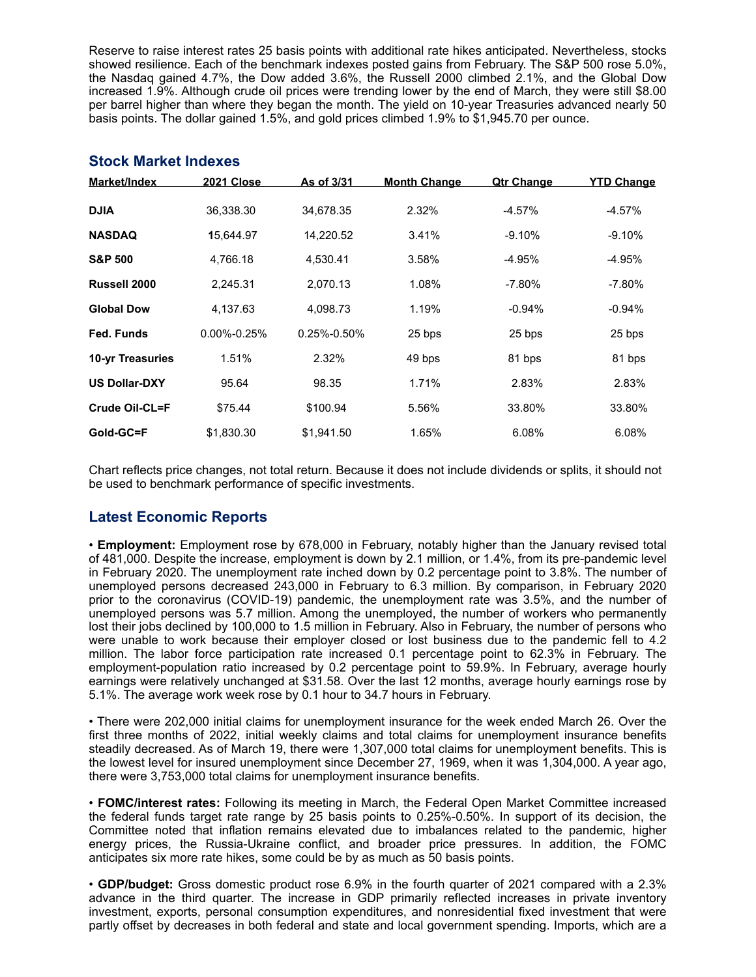Reserve to raise interest rates 25 basis points with additional rate hikes anticipated. Nevertheless, stocks showed resilience. Each of the benchmark indexes posted gains from February. The S&P 500 rose 5.0%, the Nasdaq gained 4.7%, the Dow added 3.6%, the Russell 2000 climbed 2.1%, and the Global Dow increased 1.9%. Although crude oil prices were trending lower by the end of March, they were still \$8.00 per barrel higher than where they began the month. The yield on 10-year Treasuries advanced nearly 50 basis points. The dollar gained 1.5%, and gold prices climbed 1.9% to \$1,945.70 per ounce.

| Market/Index            | <b>2021 Close</b> | As of 3/31        | <b>Month Change</b> | <b>Qtr Change</b> | <u>YTD Change</u> |
|-------------------------|-------------------|-------------------|---------------------|-------------------|-------------------|
| <b>DJIA</b>             | 36,338.30         | 34,678.35         | 2.32%               | $-4.57\%$         | $-4.57%$          |
| <b>NASDAQ</b>           | 15,644.97         | 14,220.52         | 3.41%               | $-9.10%$          | $-9.10%$          |
| <b>S&amp;P 500</b>      | 4,766.18          | 4,530.41          | 3.58%               | $-4.95%$          | $-4.95%$          |
| Russell 2000            | 2.245.31          | 2.070.13          | 1.08%               | $-7.80\%$         | $-7.80\%$         |
| <b>Global Dow</b>       | 4.137.63          | 4.098.73          | 1.19%               | $-0.94\%$         | $-0.94%$          |
| Fed. Funds              | $0.00\% - 0.25\%$ | $0.25\% - 0.50\%$ | 25 bps              | 25 bps            | 25 bps            |
| <b>10-yr Treasuries</b> | 1.51%             | 2.32%             | 49 bps              | 81 bps            | 81 bps            |
| <b>US Dollar-DXY</b>    | 95.64             | 98.35             | 1.71%               | 2.83%             | 2.83%             |
| Crude Oil-CL=F          | \$75.44           | \$100.94          | 5.56%               | 33.80%            | 33.80%            |
| Gold-GC=F               | \$1,830.30        | \$1.941.50        | 1.65%               | 6.08%             | 6.08%             |

### **Stock Market Indexes**

Chart reflects price changes, not total return. Because it does not include dividends or splits, it should not be used to benchmark performance of specific investments.

# **Latest Economic Reports**

• **Employment:** Employment rose by 678,000 in February, notably higher than the January revised total of 481,000. Despite the increase, employment is down by 2.1 million, or 1.4%, from its pre-pandemic level in February 2020. The unemployment rate inched down by 0.2 percentage point to 3.8%. The number of unemployed persons decreased 243,000 in February to 6.3 million. By comparison, in February 2020 prior to the coronavirus (COVID-19) pandemic, the unemployment rate was 3.5%, and the number of unemployed persons was 5.7 million. Among the unemployed, the number of workers who permanently lost their jobs declined by 100,000 to 1.5 million in February. Also in February, the number of persons who were unable to work because their employer closed or lost business due to the pandemic fell to 4.2 million. The labor force participation rate increased 0.1 percentage point to 62.3% in February. The employment-population ratio increased by 0.2 percentage point to 59.9%. In February, average hourly earnings were relatively unchanged at \$31.58. Over the last 12 months, average hourly earnings rose by 5.1%. The average work week rose by 0.1 hour to 34.7 hours in February.

• There were 202,000 initial claims for unemployment insurance for the week ended March 26. Over the first three months of 2022, initial weekly claims and total claims for unemployment insurance benefits steadily decreased. As of March 19, there were 1,307,000 total claims for unemployment benefits. This is the lowest level for insured unemployment since December 27, 1969, when it was 1,304,000. A year ago, there were 3,753,000 total claims for unemployment insurance benefits.

• **FOMC/interest rates:** Following its meeting in March, the Federal Open Market Committee increased the federal funds target rate range by 25 basis points to 0.25%-0.50%. In support of its decision, the Committee noted that inflation remains elevated due to imbalances related to the pandemic, higher energy prices, the Russia-Ukraine conflict, and broader price pressures. In addition, the FOMC anticipates six more rate hikes, some could be by as much as 50 basis points.

• **GDP/budget:** Gross domestic product rose 6.9% in the fourth quarter of 2021 compared with a 2.3% advance in the third quarter. The increase in GDP primarily reflected increases in private inventory investment, exports, personal consumption expenditures, and nonresidential fixed investment that were partly offset by decreases in both federal and state and local government spending. Imports, which are a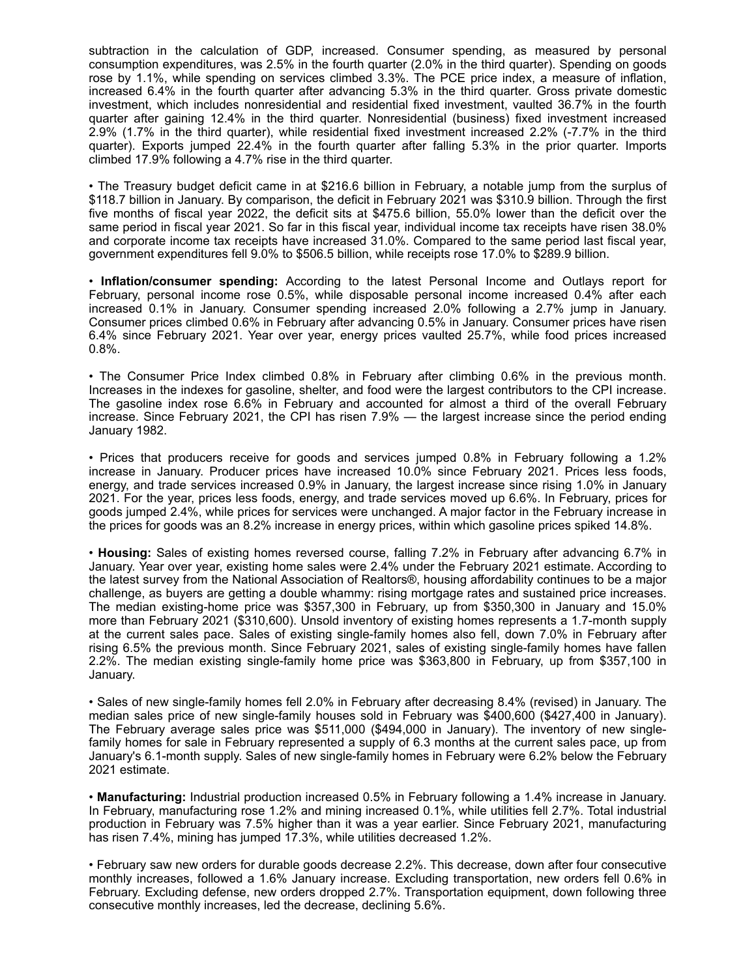subtraction in the calculation of GDP, increased. Consumer spending, as measured by personal consumption expenditures, was 2.5% in the fourth quarter (2.0% in the third quarter). Spending on goods rose by 1.1%, while spending on services climbed 3.3%. The PCE price index, a measure of inflation, increased 6.4% in the fourth quarter after advancing 5.3% in the third quarter. Gross private domestic investment, which includes nonresidential and residential fixed investment, vaulted 36.7% in the fourth quarter after gaining 12.4% in the third quarter. Nonresidential (business) fixed investment increased 2.9% (1.7% in the third quarter), while residential fixed investment increased 2.2% (-7.7% in the third quarter). Exports jumped 22.4% in the fourth quarter after falling 5.3% in the prior quarter. Imports climbed 17.9% following a 4.7% rise in the third quarter.

• The Treasury budget deficit came in at \$216.6 billion in February, a notable jump from the surplus of \$118.7 billion in January. By comparison, the deficit in February 2021 was \$310.9 billion. Through the first five months of fiscal year 2022, the deficit sits at \$475.6 billion, 55.0% lower than the deficit over the same period in fiscal year 2021. So far in this fiscal year, individual income tax receipts have risen 38.0% and corporate income tax receipts have increased 31.0%. Compared to the same period last fiscal year, government expenditures fell 9.0% to \$506.5 billion, while receipts rose 17.0% to \$289.9 billion.

• **Inflation/consumer spending:** According to the latest Personal Income and Outlays report for February, personal income rose 0.5%, while disposable personal income increased 0.4% after each increased 0.1% in January. Consumer spending increased 2.0% following a 2.7% jump in January. Consumer prices climbed 0.6% in February after advancing 0.5% in January. Consumer prices have risen 6.4% since February 2021. Year over year, energy prices vaulted 25.7%, while food prices increased 0.8%.

• The Consumer Price Index climbed 0.8% in February after climbing 0.6% in the previous month. Increases in the indexes for gasoline, shelter, and food were the largest contributors to the CPI increase. The gasoline index rose 6.6% in February and accounted for almost a third of the overall February increase. Since February 2021, the CPI has risen 7.9% — the largest increase since the period ending January 1982.

• Prices that producers receive for goods and services jumped 0.8% in February following a 1.2% increase in January. Producer prices have increased 10.0% since February 2021. Prices less foods, energy, and trade services increased 0.9% in January, the largest increase since rising 1.0% in January 2021. For the year, prices less foods, energy, and trade services moved up 6.6%. In February, prices for goods jumped 2.4%, while prices for services were unchanged. A major factor in the February increase in the prices for goods was an 8.2% increase in energy prices, within which gasoline prices spiked 14.8%.

• **Housing:** Sales of existing homes reversed course, falling 7.2% in February after advancing 6.7% in January. Year over year, existing home sales were 2.4% under the February 2021 estimate. According to the latest survey from the National Association of Realtors®, housing affordability continues to be a major challenge, as buyers are getting a double whammy: rising mortgage rates and sustained price increases. The median existing-home price was \$357,300 in February, up from \$350,300 in January and 15.0% more than February 2021 (\$310,600). Unsold inventory of existing homes represents a 1.7-month supply at the current sales pace. Sales of existing single-family homes also fell, down 7.0% in February after rising 6.5% the previous month. Since February 2021, sales of existing single-family homes have fallen 2.2%. The median existing single-family home price was \$363,800 in February, up from \$357,100 in January.

• Sales of new single-family homes fell 2.0% in February after decreasing 8.4% (revised) in January. The median sales price of new single-family houses sold in February was \$400,600 (\$427,400 in January). The February average sales price was \$511,000 (\$494,000 in January). The inventory of new singlefamily homes for sale in February represented a supply of 6.3 months at the current sales pace, up from January's 6.1-month supply. Sales of new single-family homes in February were 6.2% below the February 2021 estimate.

• **Manufacturing:** Industrial production increased 0.5% in February following a 1.4% increase in January. In February, manufacturing rose 1.2% and mining increased 0.1%, while utilities fell 2.7%. Total industrial production in February was 7.5% higher than it was a year earlier. Since February 2021, manufacturing has risen 7.4%, mining has jumped 17.3%, while utilities decreased 1.2%.

• February saw new orders for durable goods decrease 2.2%. This decrease, down after four consecutive monthly increases, followed a 1.6% January increase. Excluding transportation, new orders fell 0.6% in February. Excluding defense, new orders dropped 2.7%. Transportation equipment, down following three consecutive monthly increases, led the decrease, declining 5.6%.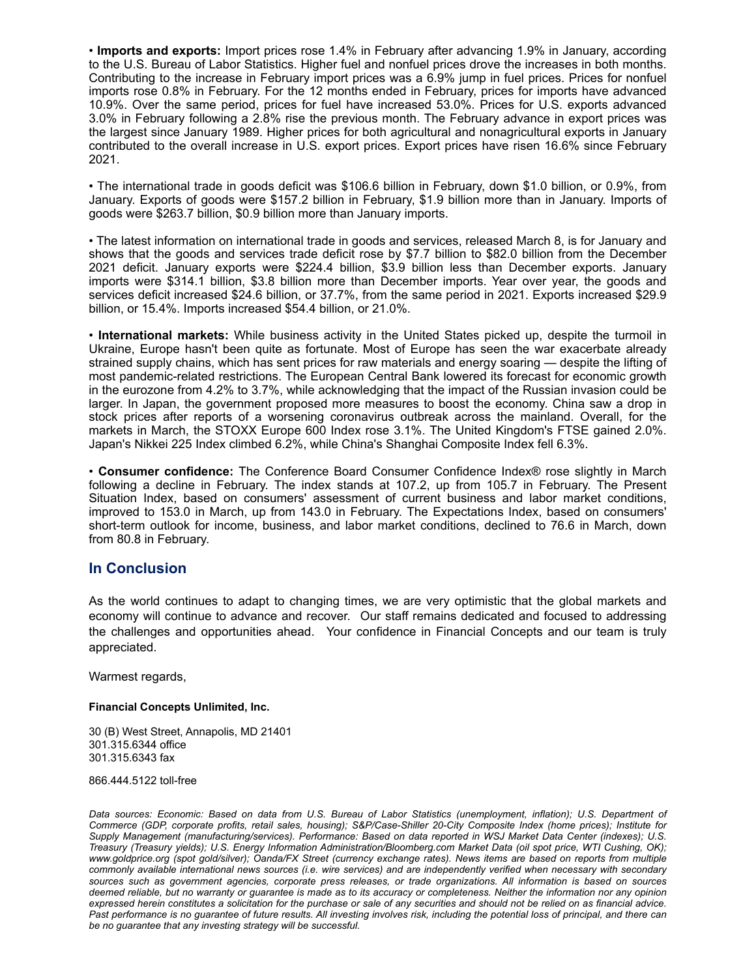• **Imports and exports:** Import prices rose 1.4% in February after advancing 1.9% in January, according to the U.S. Bureau of Labor Statistics. Higher fuel and nonfuel prices drove the increases in both months. Contributing to the increase in February import prices was a 6.9% jump in fuel prices. Prices for nonfuel imports rose 0.8% in February. For the 12 months ended in February, prices for imports have advanced 10.9%. Over the same period, prices for fuel have increased 53.0%. Prices for U.S. exports advanced 3.0% in February following a 2.8% rise the previous month. The February advance in export prices was the largest since January 1989. Higher prices for both agricultural and nonagricultural exports in January contributed to the overall increase in U.S. export prices. Export prices have risen 16.6% since February 2021.

• The international trade in goods deficit was \$106.6 billion in February, down \$1.0 billion, or 0.9%, from January. Exports of goods were \$157.2 billion in February, \$1.9 billion more than in January. Imports of goods were \$263.7 billion, \$0.9 billion more than January imports.

• The latest information on international trade in goods and services, released March 8, is for January and shows that the goods and services trade deficit rose by \$7.7 billion to \$82.0 billion from the December 2021 deficit. January exports were \$224.4 billion, \$3.9 billion less than December exports. January imports were \$314.1 billion, \$3.8 billion more than December imports. Year over year, the goods and services deficit increased \$24.6 billion, or 37.7%, from the same period in 2021. Exports increased \$29.9 billion, or 15.4%. Imports increased \$54.4 billion, or 21.0%.

• **International markets:** While business activity in the United States picked up, despite the turmoil in Ukraine, Europe hasn't been quite as fortunate. Most of Europe has seen the war exacerbate already strained supply chains, which has sent prices for raw materials and energy soaring — despite the lifting of most pandemic-related restrictions. The European Central Bank lowered its forecast for economic growth in the eurozone from 4.2% to 3.7%, while acknowledging that the impact of the Russian invasion could be larger. In Japan, the government proposed more measures to boost the economy. China saw a drop in stock prices after reports of a worsening coronavirus outbreak across the mainland. Overall, for the markets in March, the STOXX Europe 600 Index rose 3.1%. The United Kingdom's FTSE gained 2.0%. Japan's Nikkei 225 Index climbed 6.2%, while China's Shanghai Composite Index fell 6.3%.

• **Consumer confidence:** The Conference Board Consumer Confidence Index® rose slightly in March following a decline in February. The index stands at 107.2, up from 105.7 in February. The Present Situation Index, based on consumers' assessment of current business and labor market conditions, improved to 153.0 in March, up from 143.0 in February. The Expectations Index, based on consumers' short-term outlook for income, business, and labor market conditions, declined to 76.6 in March, down from 80.8 in February.

# **In Conclusion**

As the world continues to adapt to changing times, we are very optimistic that the global markets and economy will continue to advance and recover. Our staff remains dedicated and focused to addressing the challenges and opportunities ahead. Your confidence in Financial Concepts and our team is truly appreciated.

Warmest regards,

# **Financial Concepts Unlimited, Inc.**

30 (B) West Street, Annapolis, MD 21401 301.315.6344 office 301.315.6343 fax

866.444.5122 toll-free

*Data sources: Economic: Based on data from U.S. Bureau of Labor Statistics (unemployment, inflation); U.S. Department of Commerce (GDP, corporate profits, retail sales, housing); S&P/Case-Shiller 20-City Composite Index (home prices); Institute for Supply Management (manufacturing/services). Performance: Based on data reported in WSJ Market Data Center (indexes); U.S. Treasury (Treasury yields); U.S. Energy Information Administration/Bloomberg.com Market Data (oil spot price, WTI Cushing, OK); www.goldprice.org (spot gold/silver); Oanda/FX Street (currency exchange rates). News items are based on reports from multiple commonly available international news sources (i.e. wire services) and are independently verified when necessary with secondary sources such as government agencies, corporate press releases, or trade organizations. All information is based on sources deemed reliable, but no warranty or guarantee is made as to its accuracy or completeness. Neither the information nor any opinion expressed herein constitutes a solicitation for the purchase or sale of any securities and should not be relied on as financial advice. Past performance is no guarantee of future results. All investing involves risk, including the potential loss of principal, and there can be no guarantee that any investing strategy will be successful.*